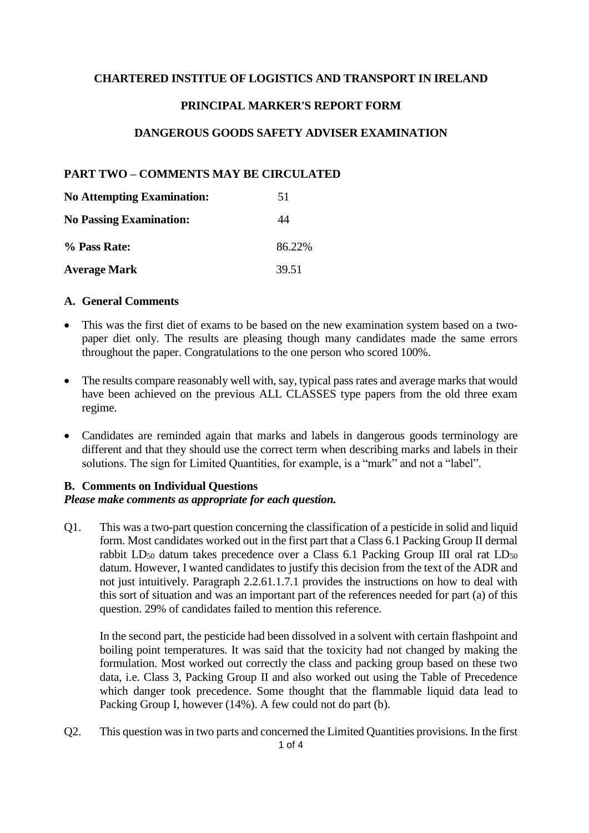### **CHARTERED INSTITUE OF LOGISTICS AND TRANSPORT IN IRELAND**

## **PRINCIPAL MARKER'S REPORT FORM**

## **DANGEROUS GOODS SAFETY ADVISER EXAMINATION**

## **PART TWO – COMMENTS MAY BE CIRCULATED**

| <b>No Attempting Examination:</b> | 51     |  |  |
|-----------------------------------|--------|--|--|
| <b>No Passing Examination:</b>    | 44     |  |  |
| % Pass Rate:                      | 86.22% |  |  |
| <b>Average Mark</b>               | 39.51  |  |  |

#### **A. General Comments**

- This was the first diet of exams to be based on the new examination system based on a twopaper diet only. The results are pleasing though many candidates made the same errors throughout the paper. Congratulations to the one person who scored 100%.
- The results compare reasonably well with, say, typical pass rates and average marks that would have been achieved on the previous ALL CLASSES type papers from the old three exam regime.
- Candidates are reminded again that marks and labels in dangerous goods terminology are different and that they should use the correct term when describing marks and labels in their solutions. The sign for Limited Quantities, for example, is a "mark" and not a "label".

#### **B. Comments on Individual Questions**

#### *Please make comments as appropriate for each question.*

Q1. This was a two-part question concerning the classification of a pesticide in solid and liquid form. Most candidates worked out in the first part that a Class 6.1 Packing Group II dermal rabbit  $LD_{50}$  datum takes precedence over a Class 6.1 Packing Group III oral rat  $LD_{50}$ datum. However, I wanted candidates to justify this decision from the text of the ADR and not just intuitively. Paragraph 2.2.61.1.7.1 provides the instructions on how to deal with this sort of situation and was an important part of the references needed for part (a) of this question. 29% of candidates failed to mention this reference.

In the second part, the pesticide had been dissolved in a solvent with certain flashpoint and boiling point temperatures. It was said that the toxicity had not changed by making the formulation. Most worked out correctly the class and packing group based on these two data, i.e. Class 3, Packing Group II and also worked out using the Table of Precedence which danger took precedence. Some thought that the flammable liquid data lead to Packing Group I, however (14%). A few could not do part (b).

1 of 4 Q2. This question was in two parts and concerned the Limited Quantities provisions. In the first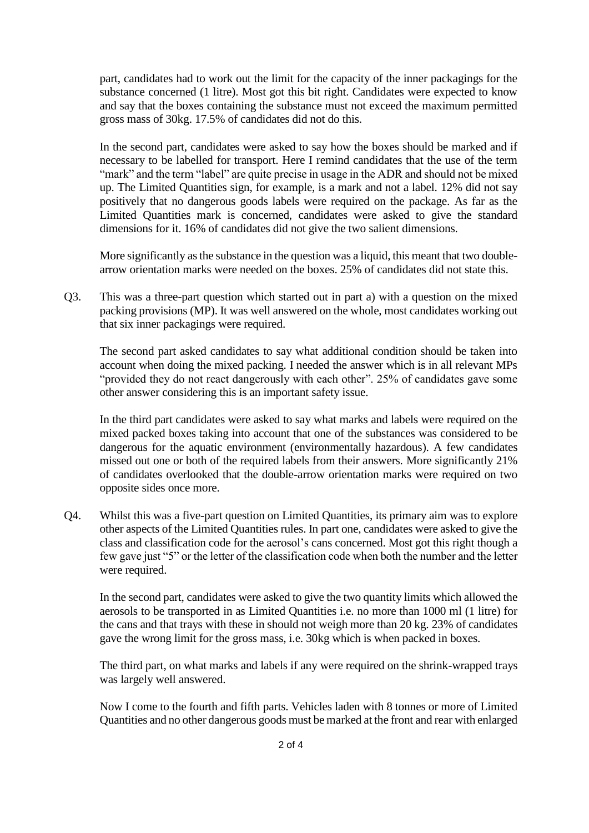part, candidates had to work out the limit for the capacity of the inner packagings for the substance concerned (1 litre). Most got this bit right. Candidates were expected to know and say that the boxes containing the substance must not exceed the maximum permitted gross mass of 30kg. 17.5% of candidates did not do this.

In the second part, candidates were asked to say how the boxes should be marked and if necessary to be labelled for transport. Here I remind candidates that the use of the term "mark" and the term "label" are quite precise in usage in the ADR and should not be mixed up. The Limited Quantities sign, for example, is a mark and not a label. 12% did not say positively that no dangerous goods labels were required on the package. As far as the Limited Quantities mark is concerned, candidates were asked to give the standard dimensions for it. 16% of candidates did not give the two salient dimensions.

More significantly as the substance in the question was a liquid, this meant that two doublearrow orientation marks were needed on the boxes. 25% of candidates did not state this.

Q3. This was a three-part question which started out in part a) with a question on the mixed packing provisions (MP). It was well answered on the whole, most candidates working out that six inner packagings were required.

The second part asked candidates to say what additional condition should be taken into account when doing the mixed packing. I needed the answer which is in all relevant MPs "provided they do not react dangerously with each other". 25% of candidates gave some other answer considering this is an important safety issue.

In the third part candidates were asked to say what marks and labels were required on the mixed packed boxes taking into account that one of the substances was considered to be dangerous for the aquatic environment (environmentally hazardous). A few candidates missed out one or both of the required labels from their answers. More significantly 21% of candidates overlooked that the double-arrow orientation marks were required on two opposite sides once more.

Q4. Whilst this was a five-part question on Limited Quantities, its primary aim was to explore other aspects of the Limited Quantities rules. In part one, candidates were asked to give the class and classification code for the aerosol's cans concerned. Most got this right though a few gave just "5" or the letter of the classification code when both the number and the letter were required.

In the second part, candidates were asked to give the two quantity limits which allowed the aerosols to be transported in as Limited Quantities i.e. no more than 1000 ml (1 litre) for the cans and that trays with these in should not weigh more than 20 kg. 23% of candidates gave the wrong limit for the gross mass, i.e. 30kg which is when packed in boxes.

The third part, on what marks and labels if any were required on the shrink-wrapped trays was largely well answered.

Now I come to the fourth and fifth parts. Vehicles laden with 8 tonnes or more of Limited Quantities and no other dangerous goods must be marked at the front and rear with enlarged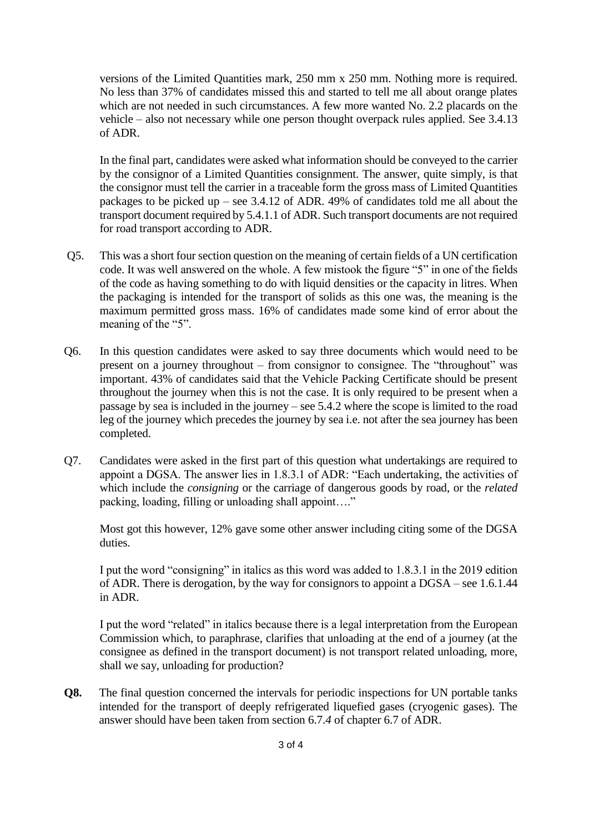versions of the Limited Quantities mark, 250 mm x 250 mm. Nothing more is required. No less than 37% of candidates missed this and started to tell me all about orange plates which are not needed in such circumstances. A few more wanted No. 2.2 placards on the vehicle – also not necessary while one person thought overpack rules applied. See 3.4.13 of ADR.

In the final part, candidates were asked what information should be conveyed to the carrier by the consignor of a Limited Quantities consignment. The answer, quite simply, is that the consignor must tell the carrier in a traceable form the gross mass of Limited Quantities packages to be picked up – see 3.4.12 of ADR. 49% of candidates told me all about the transport document required by 5.4.1.1 of ADR. Such transport documents are not required for road transport according to ADR.

- Q5. This was a short four section question on the meaning of certain fields of a UN certification code. It was well answered on the whole. A few mistook the figure "5" in one of the fields of the code as having something to do with liquid densities or the capacity in litres. When the packaging is intended for the transport of solids as this one was, the meaning is the maximum permitted gross mass. 16% of candidates made some kind of error about the meaning of the "5".
- Q6. In this question candidates were asked to say three documents which would need to be present on a journey throughout – from consignor to consignee. The "throughout" was important. 43% of candidates said that the Vehicle Packing Certificate should be present throughout the journey when this is not the case. It is only required to be present when a passage by sea is included in the journey – see 5.4.2 where the scope is limited to the road leg of the journey which precedes the journey by sea i.e. not after the sea journey has been completed.
- Q7. Candidates were asked in the first part of this question what undertakings are required to appoint a DGSA. The answer lies in 1.8.3.1 of ADR: "Each undertaking, the activities of which include the *consigning* or the carriage of dangerous goods by road, or the *related* packing, loading, filling or unloading shall appoint…."

Most got this however, 12% gave some other answer including citing some of the DGSA duties.

I put the word "consigning" in italics as this word was added to 1.8.3.1 in the 2019 edition of ADR. There is derogation, by the way for consignors to appoint a DGSA – see 1.6.1.44 in ADR.

I put the word "related" in italics because there is a legal interpretation from the European Commission which, to paraphrase, clarifies that unloading at the end of a journey (at the consignee as defined in the transport document) is not transport related unloading, more, shall we say, unloading for production?

**Q8.** The final question concerned the intervals for periodic inspections for UN portable tanks intended for the transport of deeply refrigerated liquefied gases (cryogenic gases). The answer should have been taken from section 6.7.*4* of chapter 6.7 of ADR.